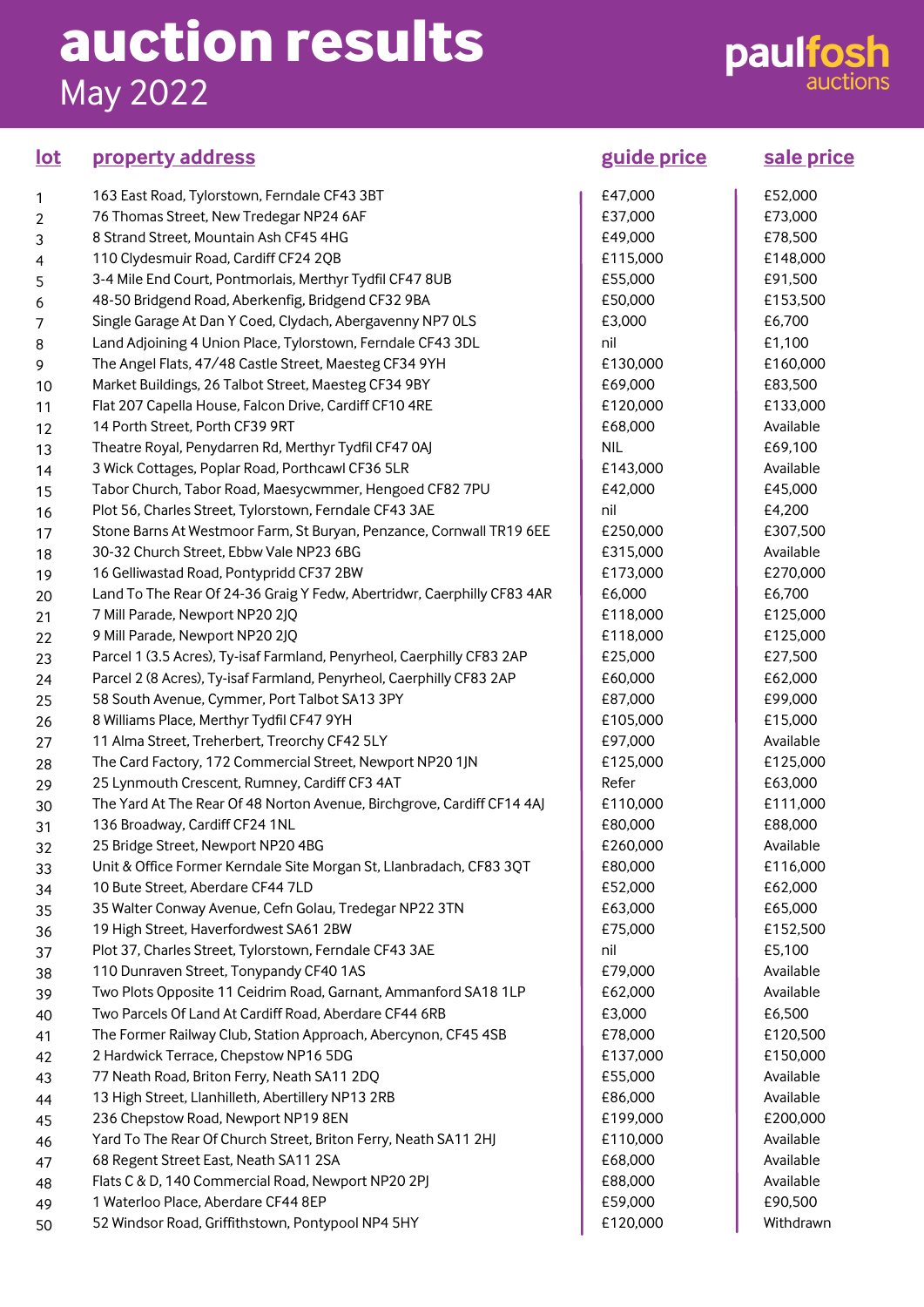## **auction results** May 2022

## **paulfosh**

| <u>lot</u>     | property address                                                        | guide price | sale price |
|----------------|-------------------------------------------------------------------------|-------------|------------|
| 1              | 163 East Road, Tylorstown, Ferndale CF43 3BT                            | £47,000     | £52,000    |
| $\overline{2}$ | 76 Thomas Street, New Tredegar NP24 6AF                                 | £37,000     | £73,000    |
| $\sqrt{3}$     | 8 Strand Street, Mountain Ash CF45 4HG                                  | £49,000     | £78,500    |
| 4              | 110 Clydesmuir Road, Cardiff CF24 2QB                                   | £115,000    | £148,000   |
| 5              | 3-4 Mile End Court, Pontmorlais, Merthyr Tydfil CF47 8UB                | £55,000     | £91,500    |
| 6              | 48-50 Bridgend Road, Aberkenfig, Bridgend CF32 9BA                      | £50,000     | £153,500   |
| 7              | Single Garage At Dan Y Coed, Clydach, Abergavenny NP7 OLS               | £3,000      | £6,700     |
| 8              | Land Adjoining 4 Union Place, Tylorstown, Ferndale CF43 3DL             | nil         | £1,100     |
| 9              | The Angel Flats, 47/48 Castle Street, Maesteg CF34 9YH                  | £130,000    | £160,000   |
| 10             | Market Buildings, 26 Talbot Street, Maesteg CF34 9BY                    | £69,000     | £83,500    |
| 11             | Flat 207 Capella House, Falcon Drive, Cardiff CF10 4RE                  | £120,000    | £133,000   |
| 12             | 14 Porth Street, Porth CF39 9RT                                         | £68,000     | Available  |
| 13             | Theatre Royal, Penydarren Rd, Merthyr Tydfil CF47 0AJ                   | <b>NIL</b>  | £69,100    |
| 14             | 3 Wick Cottages, Poplar Road, Porthcawl CF36 5LR                        | £143,000    | Available  |
| 15             | Tabor Church, Tabor Road, Maesycwmmer, Hengoed CF82 7PU                 | £42,000     | £45,000    |
| 16             | Plot 56, Charles Street, Tylorstown, Ferndale CF43 3AE                  | nil         | £4,200     |
| 17             | Stone Barns At Westmoor Farm, St Buryan, Penzance, Cornwall TR19 6EE    | £250,000    | £307,500   |
| 18             | 30-32 Church Street, Ebbw Vale NP23 6BG                                 | £315,000    | Available  |
| 19             | 16 Gelliwastad Road, Pontypridd CF37 2BW                                | £173,000    | £270,000   |
| 20             | Land To The Rear Of 24-36 Graig Y Fedw, Abertridwr, Caerphilly CF83 4AR | £6,000      | £6,700     |
| 21             | 7 Mill Parade, Newport NP20 2JQ                                         | £118,000    | £125,000   |
| 22             | 9 Mill Parade, Newport NP20 2JQ                                         | £118,000    | £125,000   |
| 23             | Parcel 1 (3.5 Acres), Ty-isaf Farmland, Penyrheol, Caerphilly CF83 2AP  | £25,000     | £27,500    |
| 24             | Parcel 2 (8 Acres), Ty-isaf Farmland, Penyrheol, Caerphilly CF83 2AP    | £60,000     | £62,000    |
| 25             | 58 South Avenue, Cymmer, Port Talbot SA13 3PY                           | £87,000     | £99,000    |
| 26             | 8 Williams Place, Merthyr Tydfil CF47 9YH                               | £105,000    | £15,000    |
| 27             | 11 Alma Street, Treherbert, Treorchy CF42 5LY                           | £97,000     | Available  |
| 28             | The Card Factory, 172 Commercial Street, Newport NP20 1JN               | £125,000    | £125,000   |
| 29             | 25 Lynmouth Crescent, Rumney, Cardiff CF3 4AT                           | Refer       | £63,000    |
| 30             | The Yard At The Rear Of 48 Norton Avenue, Birchgrove, Cardiff CF14 4AJ  | £110,000    | £111,000   |
| 31             | 136 Broadway, Cardiff CF24 1NL                                          | £80,000     | £88,000    |
| 32             | 25 Bridge Street, Newport NP20 4BG                                      | £260,000    | Available  |
| 33             | Unit & Office Former Kerndale Site Morgan St, Llanbradach, CF83 3QT     | £80,000     | £116,000   |
| 34             | 10 Bute Street, Aberdare CF44 7LD                                       | £52,000     | £62,000    |
| 35             | 35 Walter Conway Avenue, Cefn Golau, Tredegar NP22 3TN                  | £63,000     | £65,000    |
| 36             | 19 High Street, Haverfordwest SA61 2BW                                  | £75,000     | £152,500   |
| 37             | Plot 37, Charles Street, Tylorstown, Ferndale CF43 3AE                  | nil         | £5,100     |
| 38             | 110 Dunraven Street, Tonypandy CF40 1AS                                 | £79,000     | Available  |
| 39             | Two Plots Opposite 11 Ceidrim Road, Garnant, Ammanford SA18 1LP         | £62,000     | Available  |
| 40             | Two Parcels Of Land At Cardiff Road, Aberdare CF44 6RB                  | £3,000      | £6,500     |
| 41             | The Former Railway Club, Station Approach, Abercynon, CF45 4SB          | £78,000     | £120,500   |
| 42             | 2 Hardwick Terrace, Chepstow NP16 5DG                                   | £137,000    | £150,000   |
| 43             | 77 Neath Road, Briton Ferry, Neath SA11 2DQ                             | £55,000     | Available  |
| 44             | 13 High Street, Llanhilleth, Abertillery NP13 2RB                       | £86,000     | Available  |
| 45             | 236 Chepstow Road, Newport NP19 8EN                                     | £199,000    | £200,000   |
|                | Yard To The Rear Of Church Street, Briton Ferry, Neath SA11 2HJ         | £110,000    | Available  |
| 46             | 68 Regent Street East, Neath SA11 2SA                                   | £68,000     | Available  |
| 47<br>48       | Flats C & D, 140 Commercial Road, Newport NP20 2PJ                      | £88,000     | Available  |
| 49             | 1 Waterloo Place, Aberdare CF44 8EP                                     | £59,000     | £90,500    |
| 50             | 52 Windsor Road, Griffithstown, Pontypool NP4 5HY                       | £120,000    | Withdrawn  |
|                |                                                                         |             |            |